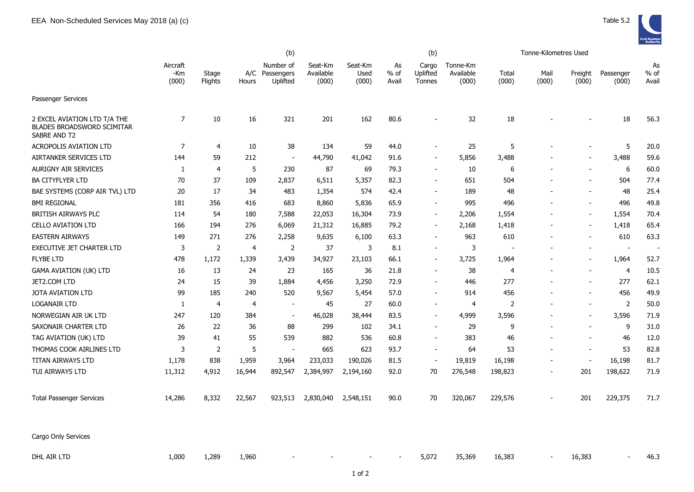|                                                                                   | (b)                      |                  |        |                                         |                               |                          |                       | (b)                         |                                | Tonne-Kilometres Used |                          |                          |                          |                          |
|-----------------------------------------------------------------------------------|--------------------------|------------------|--------|-----------------------------------------|-------------------------------|--------------------------|-----------------------|-----------------------------|--------------------------------|-----------------------|--------------------------|--------------------------|--------------------------|--------------------------|
|                                                                                   | Aircraft<br>-Km<br>(000) | Stage<br>Flights | Hours  | Number of<br>A/C Passengers<br>Uplifted | Seat-Km<br>Available<br>(000) | Seat-Km<br>Used<br>(000) | As<br>$%$ of<br>Avail | Cargo<br>Uplifted<br>Tonnes | Tonne-Km<br>Available<br>(000) | Total<br>(000)        | Mail<br>(000)            | Freight<br>(000)         | Passenger<br>(000)       | As<br>$%$ of<br>Avail    |
| Passenger Services                                                                |                          |                  |        |                                         |                               |                          |                       |                             |                                |                       |                          |                          |                          |                          |
| 2 EXCEL AVIATION LTD T/A THE<br><b>BLADES BROADSWORD SCIMITAR</b><br>SABRE AND T2 | $\overline{7}$           | 10               | 16     | 321                                     | 201                           | 162                      | 80.6                  |                             | 32                             | 18                    |                          |                          | 18                       | 56.3                     |
| <b>ACROPOLIS AVIATION LTD</b>                                                     | $\overline{7}$           | 4                | 10     | 38                                      | 134                           | 59                       | 44.0                  |                             | 25                             | 5                     |                          |                          | 5                        | 20.0                     |
| AIRTANKER SERVICES LTD                                                            | 144                      | 59               | 212    | $\overline{\phantom{a}}$                | 44,790                        | 41,042                   | 91.6                  | $\overline{\phantom{a}}$    | 5,856                          | 3,488                 |                          |                          | 3,488                    | 59.6                     |
| AURIGNY AIR SERVICES                                                              | 1                        | $\overline{4}$   | 5      | 230                                     | 87                            | 69                       | 79.3                  | $\blacksquare$              | $10\,$                         | 6                     |                          |                          | 6                        | 60.0                     |
| BA CITYFLYER LTD                                                                  | 70                       | 37               | 109    | 2,837                                   | 6,511                         | 5,357                    | 82.3                  | $\blacksquare$              | 651                            | 504                   |                          |                          | 504                      | 77.4                     |
| BAE SYSTEMS (CORP AIR TVL) LTD                                                    | 20                       | 17               | 34     | 483                                     | 1,354                         | 574                      | 42.4                  | $\overline{\phantom{a}}$    | 189                            | 48                    |                          | $\sim$                   | 48                       | 25.4                     |
| <b>BMI REGIONAL</b>                                                               | 181                      | 356              | 416    | 683                                     | 8,860                         | 5,836                    | 65.9                  | $\blacksquare$              | 995                            | 496                   |                          | $\sim$                   | 496                      | 49.8                     |
| BRITISH AIRWAYS PLC                                                               | 114                      | 54               | 180    | 7,588                                   | 22,053                        | 16,304                   | 73.9                  | $\blacksquare$              | 2,206                          | 1,554                 |                          | $\blacksquare$           | 1,554                    | 70.4                     |
| <b>CELLO AVIATION LTD</b>                                                         | 166                      | 194              | 276    | 6,069                                   | 21,312                        | 16,885                   | 79.2                  | $\overline{\phantom{a}}$    | 2,168                          | 1,418                 |                          |                          | 1,418                    | 65.4                     |
| <b>EASTERN AIRWAYS</b>                                                            | 149                      | 271              | 276    | 2,258                                   | 9,635                         | 6,100                    | 63.3                  | $\overline{\phantom{a}}$    | 963                            | 610                   | $\overline{a}$           |                          | 610                      | 63.3                     |
| EXECUTIVE JET CHARTER LTD                                                         | 3                        | 2                | 4      | 2                                       | 37                            | 3                        | 8.1                   | $\blacksquare$              | 3                              |                       |                          |                          | $\overline{\phantom{a}}$ | $\overline{\phantom{a}}$ |
| <b>FLYBE LTD</b>                                                                  | 478                      | 1,172            | 1,339  | 3,439                                   | 34,927                        | 23,103                   | 66.1                  | $\blacksquare$              | 3,725                          | 1,964                 | $\overline{a}$           | $\overline{\phantom{a}}$ | 1,964                    | 52.7                     |
| <b>GAMA AVIATION (UK) LTD</b>                                                     | 16                       | 13               | 24     | 23                                      | 165                           | 36                       | 21.8                  | $\overline{\phantom{a}}$    | 38                             | $\overline{4}$        | ÷                        | $\sim$                   | $\overline{4}$           | 10.5                     |
| JET2.COM LTD                                                                      | 24                       | 15               | 39     | 1,884                                   | 4,456                         | 3,250                    | 72.9                  | $\overline{\phantom{a}}$    | 446                            | 277                   | $\overline{a}$           | $\overline{\phantom{a}}$ | 277                      | 62.1                     |
| JOTA AVIATION LTD                                                                 | 99                       | 185              | 240    | 520                                     | 9,567                         | 5,454                    | 57.0                  |                             | 914                            | 456                   |                          |                          | 456                      | 49.9                     |
| LOGANAIR LTD                                                                      | 1                        | $\overline{4}$   | 4      | $\blacksquare$                          | 45                            | 27                       | 60.0                  | $\overline{\phantom{a}}$    | 4                              | 2                     | $\overline{\phantom{a}}$ | $\overline{\phantom{a}}$ | $\overline{2}$           | 50.0                     |
| NORWEGIAN AIR UK LTD                                                              | 247                      | 120              | 384    | $\overline{a}$                          | 46,028                        | 38,444                   | 83.5                  | $\overline{\phantom{a}}$    | 4,999                          | 3,596                 | $\blacksquare$           | $\overline{\phantom{a}}$ | 3,596                    | 71.9                     |
| SAXONAIR CHARTER LTD                                                              | 26                       | 22               | 36     | 88                                      | 299                           | 102                      | 34.1                  | $\overline{\phantom{a}}$    | 29                             | 9                     | $\blacksquare$           | $\blacksquare$           | 9                        | 31.0                     |
| TAG AVIATION (UK) LTD                                                             | 39                       | 41               | 55     | 539                                     | 882                           | 536                      | 60.8                  | $\blacksquare$              | 383                            | 46                    | $\overline{a}$           | $\blacksquare$           | 46                       | 12.0                     |
| THOMAS COOK AIRLINES LTD                                                          | 3                        | 2                | 5      | $\overline{a}$                          | 665                           | 623                      | 93.7                  | $\blacksquare$              | 64                             | 53                    | $\overline{a}$           | $\sim$                   | 53                       | 82.8                     |
| TITAN AIRWAYS LTD                                                                 | 1,178                    | 838              | 1,959  | 3,964                                   | 233,033                       | 190,026                  | 81.5                  | $\overline{\phantom{a}}$    | 19,819                         | 16,198                | $\overline{\phantom{0}}$ |                          | 16,198                   | 81.7                     |
| TUI AIRWAYS LTD                                                                   | 11,312                   | 4,912            | 16,944 | 892,547                                 | 2,384,997                     | 2,194,160                | 92.0                  | 70                          | 276,548                        | 198,823               |                          | 201                      | 198,622                  | 71.9                     |
| <b>Total Passenger Services</b>                                                   | 14,286                   | 8,332            | 22,567 | 923,513                                 | 2,830,040                     | 2,548,151                | 90.0                  | 70                          | 320,067                        | 229,576               | $\blacksquare$           | 201                      | 229,375                  | 71.7                     |
| Cargo Only Services                                                               |                          |                  |        |                                         |                               |                          |                       |                             |                                |                       |                          |                          |                          |                          |

DHL AIR LTD 1,000 1,289 1,960 - - - - 5,072 35,369 16,383 - 16,383 - 46.3